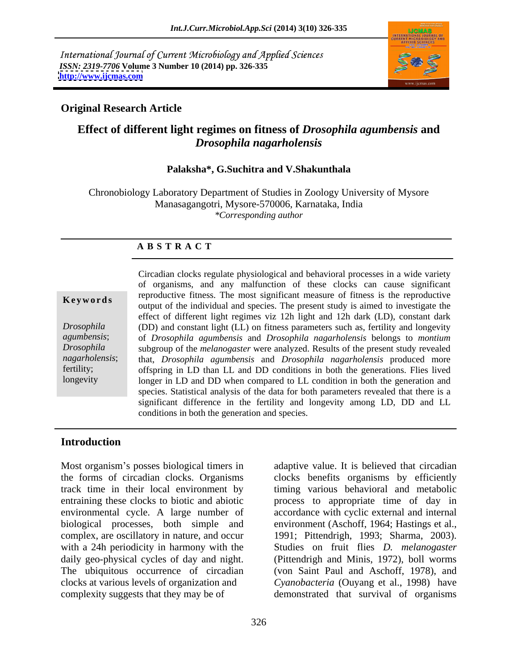International Journal of Current Microbiology and Applied Sciences *ISSN: 2319-7706* **Volume 3 Number 10 (2014) pp. 326-335 <http://www.ijcmas.com>**



## **Original Research Article**

# **Effect of different light regimes on fitness of** *Drosophila agumbensis* **and**  *Drosophila nagarholensis*

### **Palaksha\*, G.Suchitra and V.Shakunthala**

Chronobiology Laboratory Department of Studies in Zoology University of Mysore Manasagangotri, Mysore-570006, Karnataka, India *\*Corresponding author* 

### **A B S T R A C T**

**Keywords**<br>
output of the individual and species. The present study is aimed to investigate the *Drosophila*  (DD) and constant light (LL) on fitness parameters such as, fertility and longevity *agumbensis*; of *Drosophila agumbensis* and *Drosophila nagarholensis* belongs to *montium Drosophila*  subgroup of the *melanogaster* were analyzed. Results of the present study revealed *nagarholensis*; that, *Drosophila agumbensis* and *Drosophila nagarholensis* produced more fertility; offspring in LD than LL and DD conditions in both the generations. Flies lived longevity longer in LD and DD when compared to LL condition in both the generation and Circadian clocks regulate physiological and behavioral processes in a wide variety of organisms, and any malfunction of these clocks can cause significant reproductive fitness. The most significant measure of fitness is the reproductive effect of different light regimes viz 12h light and 12h dark (LD), constant dark species. Statistical analysis of the data for both parameters revealed that there is a significant difference in the fertility and longevity among LD, DD and LL conditions in both the generation and species.

### **Introduction**

Most organism's posses biological timers in adaptive value. It is believed that circadian the forms of circadian clocks. Organisms clocks benefits organisms by efficiently track time in their local environment by timing various behavioral and metabolic entraining these clocks to biotic and abiotic process to appropriate time of day in environmental cycle. A large number of accordance with cyclic external and internal biological processes, both simple and environment (Aschoff, 1964; Hastings et al., complex, are oscillatory in nature, and occur 1991; Pittendrigh, 1993; Sharma, 2003). with a 24h periodicity in harmony with the Studies on fruit flies *D. melanogaster* daily geo-physical cycles of day and night. (Pittendrigh and Minis, 1972), boll worms The ubiquitous occurrence of circadian (von Saint Paul and Aschoff, 1978), and clocks at various levels of organization and *Cyanobacteria* (Ouyang et al., 1998) have

complexity suggests that they may be of demonstrated that survival of organisms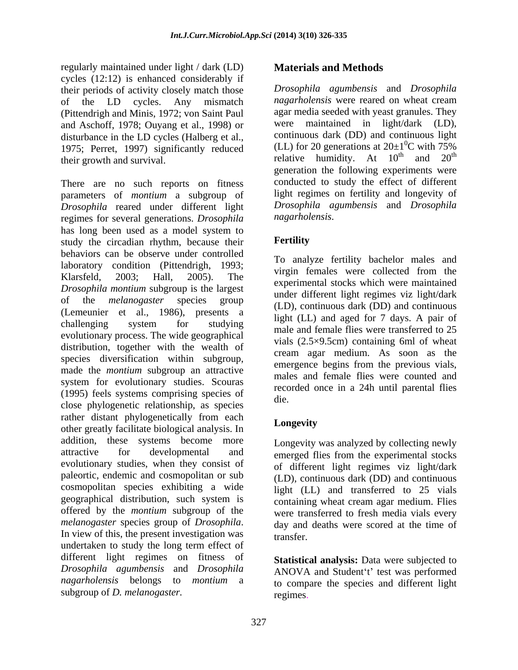regularly maintained under light / dark (LD) **Materials and Methods** cycles (12:12) is enhanced considerably if their periods of activity closely match those of the LD cycles. Any mismatch (Pittendrigh and Minis, 1972; von Saint Paul and Aschoff, 1978; Ouyang et al., 1998) or disturbance in the LD cycles (Halberg et al., 1975; Perret, 1997) significantly reduced

There are no such reports on fitness parameters of *montium* a subgroup of *Drosophila* reared under different light regimes for several generations. *Drosophila* has long been used as a model system to<br>study the circadian rhythm because their **Fertility** study the circadian rhythm, because their behaviors can be observe under controlled laboratory condition (Pittendrigh, 1993;<br>
The condition of the condition of the condition of the condition of the condition of the condition of the condition of the condition of the condition of the condition of the condit Klarsfeld, 2003; Hall, 2005). The experimental stocks which were maintained<br>
experimental stocks which were maintained *Drosophila montium* subgroup is the largest of the *melanogaster* species group (Lemeunier et al., 1986), presents a challenging system for studying  $\frac{\text{right (EL)}}{\text{model}}$  and aged for  $\frac{1}{25}$  and  $\frac{1}{25}$ evolutionary process. The wide geographical distribution, together with the wealth of species diversification within subgroup, made the *montium* subgroup an attractive system for evolutionary studies. Scouras (1995) feels systems comprising species of close phylogenetic relationship, as species rather distant phylogenetically from each<br>the conservative probability is the conservative Longevity other greatly facilitate biological analysis. In addition, these systems become more attractive for developmental and emerged flies from the experimental stocks evolutionary studies, when they consist of of different light regimes viz light/dark paleortic, endemic and cosmopolitan or sub (LD), continuous dark (DD) and continuous cosmopolitan species exhibiting a wide geographical distribution, such system is offered by the *montium* subgroup of the *melanogaster* species group of *Drosophila*. In view of this, the present investigation was transfer. undertaken to study the long term effect of different light regimes on fitness of *Drosophila agumbensis* and *Drosophila* ANOVA and Student't' test was performed *nagarholensis* belongs to *montium* a to compare the species and different light regulary maintained under light; dark (LD) Materials and Methods and Methods of science is a proposite of  $\alpha$  melanogaster. The melanogaster space of  $\alpha$  melanogaster. The melanogaster is a substitute of  $\alpha$  melanogaste

their growth and survival.  $relative$  humidity. At  $10^{th}$  and  $20^{th}$ *Drosophila agumbensis* and *Drosophila nagarholensis* were reared on wheat cream agar media seeded with yeast granules. They were maintained in light/dark (LD), continuous dark (DD) and continuous light (LL) for 20 generations at  $20\pm1\textsuperscript{0}$ C with 75%  $\rm{^{0}C}$  with 75% and  $20^{\text{th}}$ th generation the following experiments were conducted to study the effect of different light regimes on fertility and longevity of *Drosophila agumbensis* and *Drosophila nagarholensis*.

## **Fertility**

To analyze fertility bachelor males and virgin females were collected from the under different light regimes viz light/dark (LD), continuous dark (DD) and continuous light (LL) and aged for 7 days. A pair of male and female flies were transferred to 25 vials (2.5×9.5cm) containing 6ml of wheat cream agar medium. As soon as the emergence begins from the previous vials, males and female flies were counted and recorded once in a 24h until parental flies die.

# **Longevity**

Longevity was analyzed by collecting newly light (LL) and transferred to 25 vials containing wheat cream agar medium. Flies were transferred to fresh media vials every day and deaths were scored at the time of transfer.

**Statistical analysis:** Data were subjected to regimes.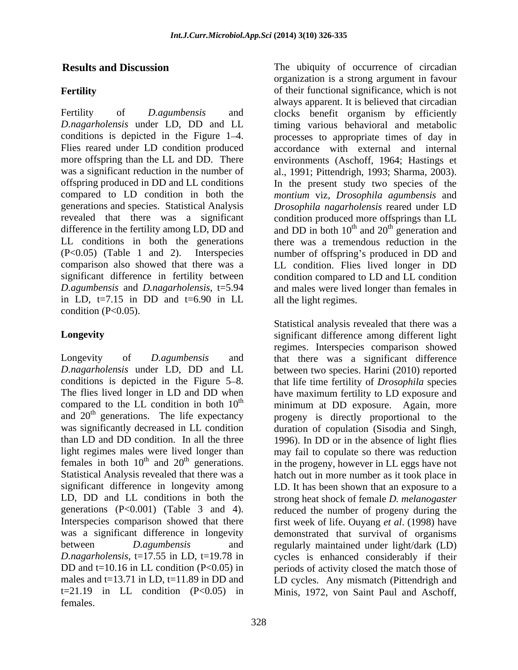in LD,  $t=7.15$  in DD and  $t=6.90$  in LL all the light regimes. condition  $(P<0.05)$ .

and  $20<sup>th</sup>$  generations. The life expectancy t=21.19 in LL condition (P<0.05) in Minis, 1972, von Saint Paul and Aschoff,females.

**Results and Discussion** The ubiquity of occurrence of circadian **Fertility Fertility of their functional significance**, which is not Fertility of *D.agumbensis* and clocks benefit organism by efficiently *D.nagarholensis* under LD, DD and LL timing various behavioral and metabolic conditions is depicted in the Figure 1–4. <br>Flies reared under LD condition produced accordance with external and internal more offspring than the LL and DD. There environments (Aschoff, 1964; Hastings et was a significant reduction in the number of al., 1991; Pittendrigh, 1993; Sharma, 2003). offspring produced in DD and LL conditions In the present study two species of the compared to LD condition in both the *montium* viz, *Drosophila agumbensis* and generations and species. Statistical Analysis *Drosophila nagarholensis* reared under LD revealed that there was a significant condition produced more offsprings than LL difference in the fertility among LD, DD and and DD in both  $10^{th}$  and  $20^{th}$  generation and LL conditions in both the generations there was a tremendous reduction in the (P<0.05) (Table 1 and 2). Interspecies number of offspring s produced in DD and comparison also showed that there was a LL condition. Flies lived longer in DD significant difference in fertility between condition compared to LD and LL condition *D.agumbensis* and *D.nagarholensis*, t=5.94 and males were lived longer than females in organization is a strong argument in favour always apparent. It is believed that circadian processes to appropriate times of day in accordance with external and internal and  $20<sup>th</sup>$  generation and  $th$  concretion and generation and

**Longevity** significant difference among different light Longevity of *D.agumbensis* and that there was a significant difference *D.nagarholensis* under LD, DD and LL between two species. Harini (2010) reported conditions is depicted in the Figure 5–8. Interval that life time fertility of *Drosophila* species The flies lived longer in LD and DD when have maximum fertility to LD exposure and compared to the LL condition in both  $10<sup>th</sup>$  minimum at DD exposure. Again, more and 20<sup>th</sup> generations. The life expectancy progeny is directly proportional to the was significantly decreased in LL condition duration of copulation (Sisodia and Singh, than LD and DD condition. In all the three 1996). In DD or in the absence of light flies light regimes males were lived longer than the may fail to copulate so there was reduction females in both  $10^{\text{th}}$  and  $20^{\text{th}}$  generations. in the progeny, however in LL eggs have not  $t<sup>th</sup>$  and 20<sup>th</sup> generations. in the progeny, however in LL eggs have not Statistical Analysis revealed that there was a hatch out in more number as it took place in significant difference in longevity among LD. It has been shown that an exposure to a LD, DD and LL conditions in both the strong heat shock of female *D. melanogaster*  generations  $(P<0.001)$  (Table 3 and 4). reduced the number of progeny during the Interspecies comparison showed that there first week of life. Ouyang *et al*. (1998) have was a significant difference in longevity demonstrated that survival of organisms between *D.agumbensis* and regularly maintained under light/dark (LD) *D.nagarholensis*, t=17.55 in LD, t=19.78 in cycles is enhanced considerably if their DD and t=10.16 in LL condition (P<0.05) in periods of activity closed the match those of males and t=13.71 in LD, t=11.89 in DD and LD cycles. Any mismatch (Pittendrigh and all the light regimes.<br>Statistical analysis revealed that there was a regimes. Interspecies comparison showed may fail to copulate so there was reduction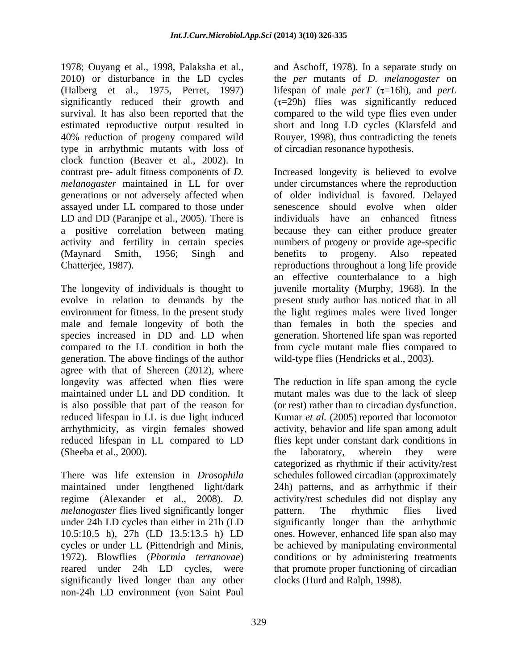1978; Ouyang et al., 1998, Palaksha et al., and Aschoff, 1978). In a separate study on 2010) or disturbance in the LD cycles the *per* mutants of *D. melanogaster* on (Halberg et al., 1975, Perret, 1997) lifespan of male  $perT$  ( $\tau$ =16h), and  $perL$ significantly reduced their growth and survival. It has also been reported that the compared to the wild type flies even under estimated reproductive output resulted in short and long LD cycles (Klarsfeld and 40% reduction of progeny compared wild Rouyer, 1998), thus contradicting the tenets type in arrhythmic mutants with loss of clock function (Beaver et al., 2002). In generations or not adversely affected when assayed under LL compared to those under LD and DD (Paranjpe et al., 2005). There is

The longevity of individuals is thought to juvenile mortality (Murphy, 1968). In the evolve in relation to demands by the present study author has noticed that in all environment for fitness. In the present study the light regimes males were lived longer male and female longevity of both the than females in both the species and species increased in DD and LD when compared to the LL condition in both the from cycle mutant male flies compared to generation. The above findings of the author wild-type flies (Hendricks et al., 2003). agree with that of Shereen (2012), where<br>longevity was affected when flies were maintained under LL and DD condition. It mutant males was due to the lack of sleep is also possible that part of the reason for (or rest) rather than to circadian dysfunction. reduced lifespan in LL is due light induced Kumar *et al.* (2005) reported that locomotor arrhythmicity, as virgin females showed activity, behavior and life span among adult reduced lifespan in LL compared to LD

*melanogaster* flies lived significantly longer battern. The rhythmic flies lived 10.5:10.5 h), 27h (LD 13.5:13.5 h) LD significantly lived longer than any other non-24h LD environment (von Saint Paul

 $(\tau=29h)$  flies was significantly reduced of circadian resonance hypothesis.

contrast pre- adult fitness components of *D.*  Increased longevity is believed to evolve *melanogaster* maintained in LL for over under circumstances where the reproduction a positive correlation between mating because they can either produce greater activity and fertility in certain species numbers of progeny or provide age-specific (Maynard Smith, 1956; Singh and benefits to progeny. Also repeated Chatterjee, 1987). reproductions throughout a long life provide of older individual is favored. Delayed senescence should evolve when older individuals have an enhanced fitness benefits to progeny. Also repeated an effective counterbalance to a high generation. Shortened life span was reported

The reduction in life span among the cycle (Sheeba et al., 2000).<br>
There was life extension in *Drosophila* extension in *Sheebase extension* in *Drosophila* extending schedules followed circadian (approximately maintained under lengthened light/dark 24h) patterns, and as arrhythmic if their regime (Alexander et al., 2008). *D.*  activity/rest schedules did not display any under 24h LD cycles than either in 21h (LD significantly longer than the arrhythmic cycles or under LL (Pittendrigh and Minis, be achieved by manipulating environmental 1972). Blowflies (*Phormia terranovae*) conditions or by administering treatments reared under 24h LD cycles, were that promote proper functioning of circadian wild-type flies (Hendricks et al., 2003). The reduction in life span among the cycle flies kept under constant dark conditions in the laboratory, wherein they were categorized as rhythmic if their activity/rest schedules followed circadian (approximately pattern. The rhythmic flies lived ones. However, enhanced life span also may clocks (Hurd and Ralph, 1998).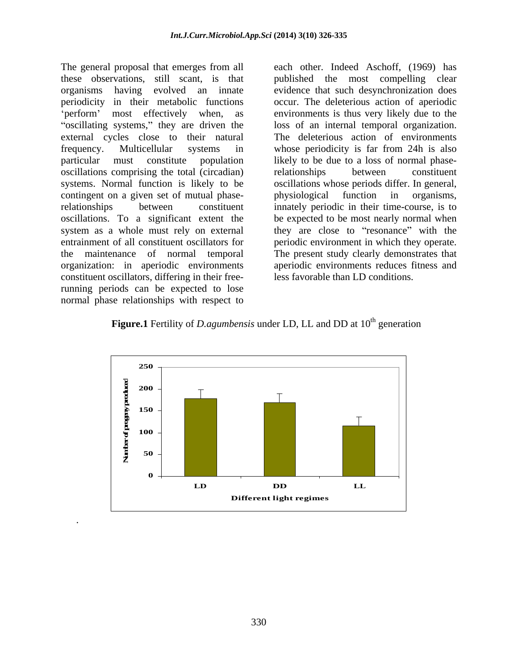The general proposal that emerges from all each other. Indeed Aschoff, (1969) has these observations, still scant, is that published the most compelling clear organisms having evolved an innate evidence that such desynchronization does periodicity in their metabolic functions occur. The deleterious action of aperiodic "oscillating systems," they are driven the external cycles close to their natural The deleterious action of environments frequency. Multicellular systems in whose periodicity is far from 24h is also particular must constitute population likely to be due to a loss of normal phaseoscillations comprising the total (circadian) systems. Normal function is likely to be oscillations whose periods differ. In general, contingent on a given set of mutual phase-<br>physiological function in organisms, relationships between constituent innately periodic in their time-course, is to oscillations. To a significant extent the be expected to be most nearly normal when system as a whole must rely on external entrainment of all constituent oscillators for periodic environment in which they operate. the maintenance of normal temporal The present study clearly demonstrates that organization: in aperiodic environments aperiodic environments reducesfitness and constituent oscillators, differing in their freerunning periods can be expected to lose normal phase relationships with respect to

.

perform' most effectively when, as environments is thus very likely due to the loss of an internal temporal organization. relationships between constituent physiological function in they are close to "resonance" with the less favorable than LD conditions.



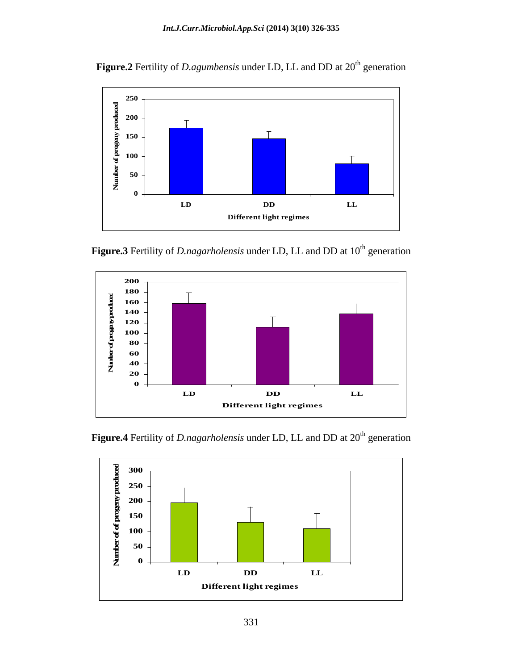

**Figure.2** Fertility of *D.agumbensis* under LD, LL and DD at 20<sup>th</sup> generation

**Figure.3** Fertility of *D.nagarholensis* under LD, LL and DD at 10<sup>th</sup> generation





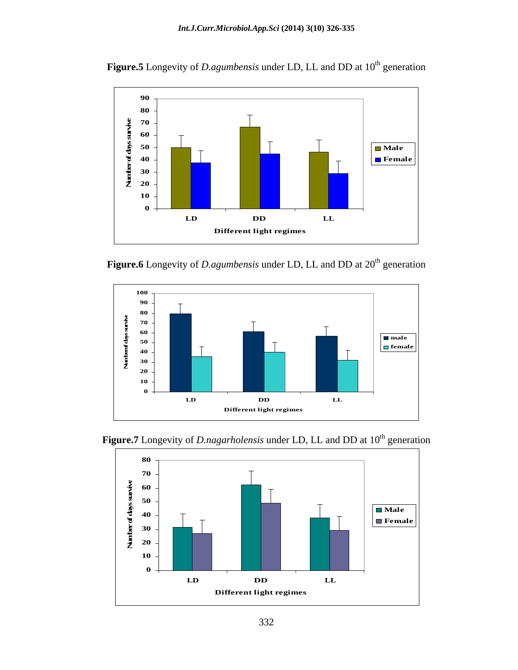

**Figure.5** Longevity of *D.agumbensis* under LD, LL and DD at 10<sup>th</sup> generation

**Figure.6** Longevity of *D.agumbensis* under LD, LL and DD at 20<sup>th</sup> generation





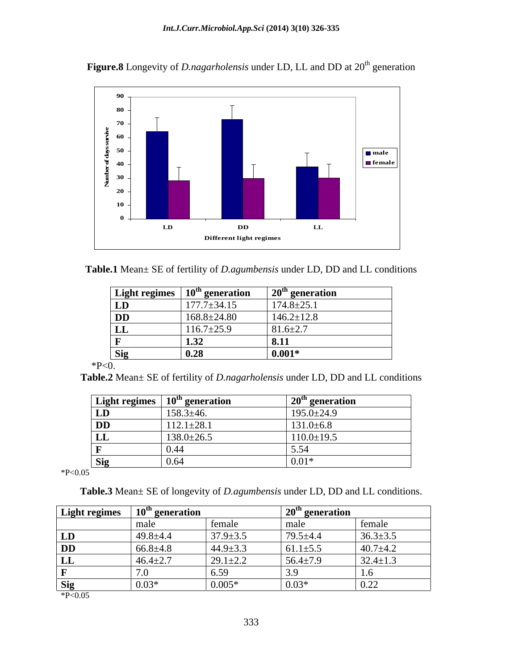

Figure.8 Longevity of *D.nagarholensis* under LD, LL and DD at 20<sup>th</sup> generation



|           | Light regimes $\mid 10^{\text{th}}$ generation | $20th$ generation |
|-----------|------------------------------------------------|-------------------|
| LD        | $177.7 \pm 34.15$                              | $174.8 \pm 25.1$  |
| <b>DD</b> | $168.8 \pm 24.80$                              | $146.2 \pm 12.8$  |
| பப        | $116.7 \pm 25.9$                               | $81.6 \pm 2.7$    |
|           | $\overline{1}$<br>1.JA                         | 8.11              |
|           | $\mathbf{v}$ .                                 | $0.001*$          |
| P < 0.    |                                                |                   |

**Table.2** Mean± SE of fertility of *D.nagarholensis* under LD, DD and LL conditions

| <b>Light regimes</b> | $10th$ generation | $20th$ generation |
|----------------------|-------------------|-------------------|
| LD                   | $158.3 \pm 46.$   | $195.0 \pm 24.9$  |
| <b>DD</b>            | $112.1 \pm 28.1$  | $131.0 \pm 6.8$   |
| ш                    | $138.0 \pm 26.5$  | $110.0 \pm 19.5$  |
|                      |                   |                   |
| <b>Sig</b>           | 0.64              | 0.01              |

 $*P<0.05$ 

**Table.3** Mean± SE of longevity of *D.agumbensis* under LD, DD and LL conditions.

| <b>Light regimes</b> | $10th$ generation |                                    | $\sim$ 20 <sup>th</sup> generation |                |
|----------------------|-------------------|------------------------------------|------------------------------------|----------------|
|                      | male              | female                             | male                               | female         |
| LD                   | $49.8 + 4.4$      | $37.9 \pm 3.5$                     | $79.5 \pm 4.4$                     | $36.3 \pm 3.5$ |
| <b>DD</b>            | $66.8 \pm 4.8$    | $44.9 \pm 3.3$                     | $61.1 \pm 5.5$                     | $40.7 + 4.2$   |
| rт<br>LL             | $46.4 \pm 2.7$    | $29.1 \pm 2.2$                     | $56.4 \pm 7.9$                     | $32.4 \pm 1.3$ |
|                      |                   | 65c<br>$\mathsf{U}$ . $\mathsf{U}$ |                                    | 1.0            |
| <b>Sig</b>           | $0.03*$           | $0.005*$                           | $0.03*$                            | $\vert$ 0.22   |

 $*P<0.05$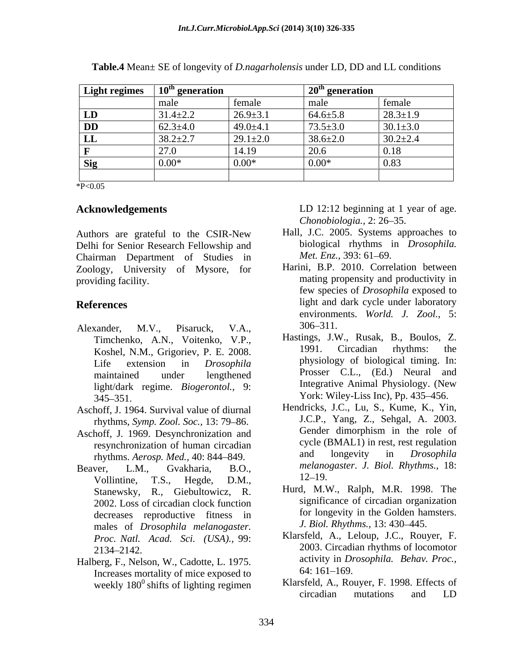| <b>Light regimes</b> | " generation<br>10 <sup>th</sup> |                | $20th$ generation |                |
|----------------------|----------------------------------|----------------|-------------------|----------------|
|                      | male                             | female         | male              | female         |
| LD                   | $31.4 \pm 2.2$                   | $26.9 \pm 3.1$ | $64.6 \pm 5.8$    | $28.3 \pm 1.9$ |
| <b>DD</b>            | $62.3 \pm 4.0$                   | $49.0 \pm 4.1$ | $73.5 \pm 3.0$    | $30.1 \pm 3.0$ |
| LL                   | $38.2 \pm 2.7$                   | $29.1 \pm 2.0$ | $38.6 \pm 2.0$    | $30.2 \pm 2.4$ |
|                      | 27.0                             | 14.19          | 20.6              | 0.18           |
| <b>Sig</b>           | $0.00*$                          | $0.00*$        | $0.00^*$          | 0.83           |
|                      |                                  |                |                   |                |

**Table.4** Mean± SE of longevity of *D.nagarholensis* under LD, DD and LL conditions

 $*P<0.05$ 

Authors are grateful to the CSIR-New Delhi for Senior Research Fellowship and biological rhythms in<br>Chairman Department of Studies in *Met. Enz.*, 393: 61–69. Chairman Department of Studies in Zoology, University of Mysore, for

- Alexander, M.V., Pisaruck, V.A., 306-311. Koshel, N.M., Grigoriev, P. E. 2008. light/dark regime. *Biogerontol.,* 9: 345–351. **T** YOR: Wiley-Liss Inc., Pp. 435–456.
- Aschoff, J. 1964. Survival value of diurnal
- Aschoff, J. 1969. Desynchronization and rhythms. *Aerosp. Med.*, 40: 844–849.
- Vollintine, T.S., Hegde, D.M., <sup>12–19</sup>. Stanewsky, R., Giebultowicz, R. 2002. Loss of circadian clock function decreases reproductive fitness in males of *Drosophila melanogaster. Proc. Natl. Acad. Sci. (USA).,* 99:
- Halberg, F., Nelson, W., Cadotte, L. 1975.  $\frac{\text{activity in } Dr}{\text{increases mortality of mice exposed to}}$  64: 161–169. Increases mortality of mice exposed to

Acknowledgements **LD** 12:12 beginning at 1 year of age. *Chonobiologia.,* 2: 26 35.

- Hall, J.C. 2005. Systems approaches to biological rhythms in *Drosophila. Met. Enz.,* 393: 61–69.
- providing facility. The mating propensity and productivity in **References** light and dark cycle under laboratory Harini, B.P. 2010. Correlation between few species of *Drosophila* exposed to environments. *World. J. Zool.,* 5: 306 311.
	- Timchenko, A.N., Voitenko, V.P., Hastings, J.W., Rusak, B., Boulos, Z.<br>Koshel N.M. Grigoriev P.E. 2008 1991. Circadian rhythms: the Life extension in *Drosophila*  maintained under lengthened Prosser C.L., (Ed.) Neural and Hastings, J.W., Rusak, B., Boulos, Z. 1991. Circadian rhythms: the physiology of biological timing. In: Prosser C.L., (Ed.) Neural and Integrative Animal Physiology. (New York: Wiley-Liss Inc), Pp. 435–456.
- rhythms, *Symp. Zool. Soc.*, 13: 79–86.<br>hoff I 1969 Desynchronization and Gender dimorphism in the role of resynchronization of human circadian<br>rhythms *Aerosn Med* 40:844–849 and longevity in *Drosophila* Beaver, L.M., Gvakharia, B.O., *melanogaster*. *J. Biol. Rhythms.,* 18: Hendricks, J.C., Lu, S., Kume, K., Yin, J.C.P., Yang, Z., Sehgal, A. 2003. Gender dimorphism in the role of cycle (BMAL1) in rest, rest regulation and longevity in *Drosophila*  12–19.
	- Hurd, M.W., Ralph, M.R. 1998. The significance of circadian organization for longevity in the Golden hamsters. *J. Biol. Rhythms.,* 13: 430 445.
	- 2134 2142. 2003. Circadian rhythms of locomotor Klarsfeld, A., Leloup, J.C., Rouyer, F. activity in *Drosophila. Behav. Proc.,* 64: 161–169.
	- weekly 180<sup>0</sup> shifts of lighting regimen<br>
	Klarsfeld, A., Rouyer, F. 1998. Effects of<br>
	circadian<br>
	mutations and LD  $^{0}$  shifts of lighting regimen Klarsfeld, A., Rouyer, F. 1998. Effects of circadian mutations and LD